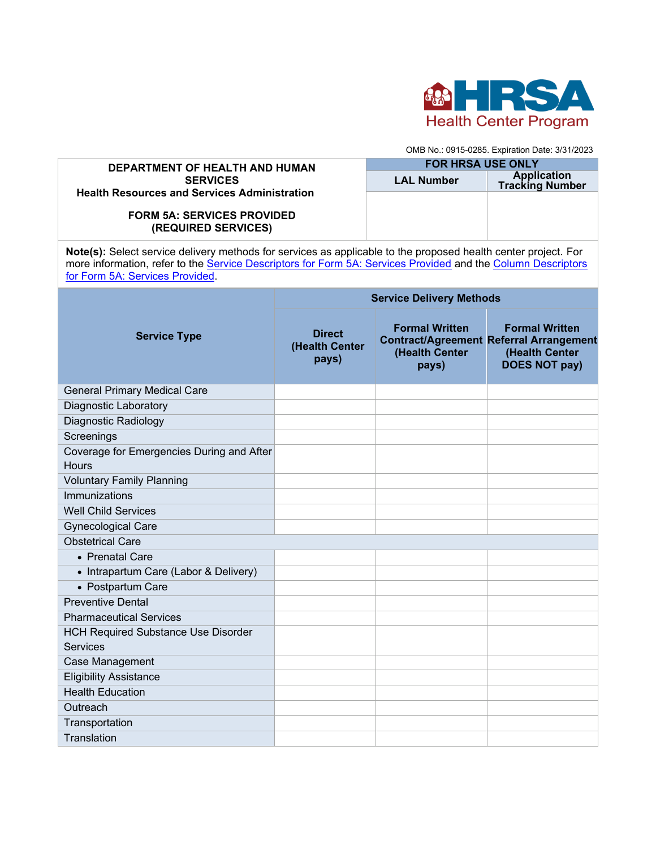

OMB No.: 0915-0285. Expiration Date: 3/31/2023

## **DEPARTMENT OF HEALTH AND HUMAN SERVICES Health Resources and Services Administration FORM 5A: SERVICES PROVIDED (REQUIRED SERVICES) FOR HRSA USE ONLY LAL Number Application Tracking Number**

**Note(s):** Select service delivery methods for services as applicable to the proposed health center project. For more information, refer to the [Service Descriptors for Form 5A: Services Provided](https://bphc.hrsa.gov/sites/default/files/bphc/programrequirements/scope/form5aservicedescriptors.pdf) and the Column Descriptors [for Form 5A: Services Provided.](https://bphc.hrsa.gov/sites/default/files/bphc/programrequirements/scope/form5acolumndescriptors.pdf)

| <b>Service Type</b>                                           | <b>Service Delivery Methods</b>          |                                                  |                                                                                                                   |  |
|---------------------------------------------------------------|------------------------------------------|--------------------------------------------------|-------------------------------------------------------------------------------------------------------------------|--|
|                                                               | <b>Direct</b><br>(Health Center<br>pays) | <b>Formal Written</b><br>(Health Center<br>pays) | <b>Formal Written</b><br><b>Contract/Agreement Referral Arrangement</b><br>(Health Center<br><b>DOES NOT pay)</b> |  |
| <b>General Primary Medical Care</b>                           |                                          |                                                  |                                                                                                                   |  |
| <b>Diagnostic Laboratory</b>                                  |                                          |                                                  |                                                                                                                   |  |
| Diagnostic Radiology                                          |                                          |                                                  |                                                                                                                   |  |
| Screenings                                                    |                                          |                                                  |                                                                                                                   |  |
| Coverage for Emergencies During and After<br><b>Hours</b>     |                                          |                                                  |                                                                                                                   |  |
| <b>Voluntary Family Planning</b>                              |                                          |                                                  |                                                                                                                   |  |
| Immunizations                                                 |                                          |                                                  |                                                                                                                   |  |
| <b>Well Child Services</b>                                    |                                          |                                                  |                                                                                                                   |  |
| <b>Gynecological Care</b>                                     |                                          |                                                  |                                                                                                                   |  |
| <b>Obstetrical Care</b>                                       |                                          |                                                  |                                                                                                                   |  |
| • Prenatal Care                                               |                                          |                                                  |                                                                                                                   |  |
| • Intrapartum Care (Labor & Delivery)                         |                                          |                                                  |                                                                                                                   |  |
| • Postpartum Care                                             |                                          |                                                  |                                                                                                                   |  |
| <b>Preventive Dental</b>                                      |                                          |                                                  |                                                                                                                   |  |
| <b>Pharmaceutical Services</b>                                |                                          |                                                  |                                                                                                                   |  |
| <b>HCH Required Substance Use Disorder</b><br><b>Services</b> |                                          |                                                  |                                                                                                                   |  |
| Case Management                                               |                                          |                                                  |                                                                                                                   |  |
| <b>Eligibility Assistance</b>                                 |                                          |                                                  |                                                                                                                   |  |
| <b>Health Education</b>                                       |                                          |                                                  |                                                                                                                   |  |
| Outreach                                                      |                                          |                                                  |                                                                                                                   |  |
| Transportation                                                |                                          |                                                  |                                                                                                                   |  |
| Translation                                                   |                                          |                                                  |                                                                                                                   |  |